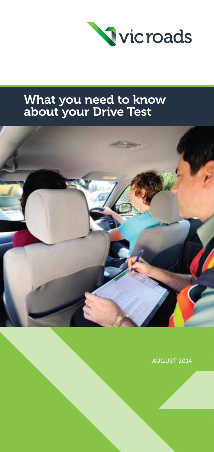

# What you need to know about your Drive Test



AUGUST 2014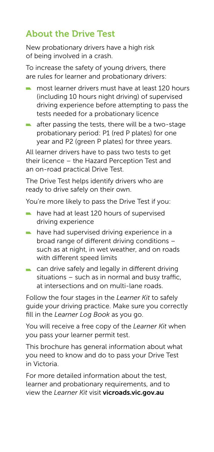# About the Drive Test

New probationary drivers have a high risk of being involved in a crash.

To increase the safety of young drivers, there are rules for learner and probationary drivers:

- $\blacksquare$  most learner drivers must have at least 120 hours (including 10 hours night driving) of supervised driving experience before attempting to pass the tests needed for a probationary licence
- $\blacksquare$  after passing the tests, there will be a two-stage probationary period: P1 (red P plates) for one year and P2 (green P plates) for three years.

All learner drivers have to pass two tests to get their licence – the Hazard Perception Test and an on-road practical Drive Test.

The Drive Test helps identify drivers who are ready to drive safely on their own.

You're more likely to pass the Drive Test if you:

- have had at least 120 hours of supervised driving experience
- $\blacksquare$  have had supervised driving experience in a broad range of different driving conditions – such as at night, in wet weather, and on roads with different speed limits
- can drive safely and legally in different driving situations – such as in normal and busy traffic, at intersections and on multi-lane roads.

Follow the four stages in the *Learner Kit* to safely guide your driving practice. Make sure you correctly fill in the *Learner Log Book* as you go.

You will receive a free copy of the *Learner Kit* when you pass your learner permit test.

This brochure has general information about what you need to know and do to pass your Drive Test in Victoria.

For more detailed information about the test, learner and probationary requirements, and to view the *Learner Kit* visit vicroads.vic.gov.au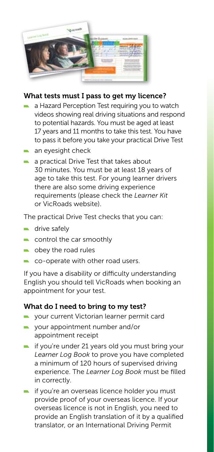

## What tests must I pass to get my licence?

- a Hazard Perception Test requiring you to watch videos showing real driving situations and respond to potential hazards. You must be aged at least 17 years and 11 months to take this test. You have to pass it before you take your practical Drive Test
- an eyesight check
- **a** a practical Drive Test that takes about 30 minutes. You must be at least 18 years of age to take this test. For young learner drivers there are also some driving experience requirements (please check the *Learner Kit* or VicRoads website).

The practical Drive Test checks that you can:

- $\blacksquare$  drive safely
- control the car smoothly
- **n** obey the road rules
- co-operate with other road users.

If you have a disability or difficulty understanding English you should tell VicRoads when booking an appointment for your test.

#### What do I need to bring to my test?

- your current Victorian learner permit card
- your appointment number and/or appointment receipt
- $\blacksquare$  if you're under 21 years old you must bring your *Learner Log Book* to prove you have completed a minimum of 120 hours of supervised driving experience. The *Learner Log Book* must be filled in correctly.
- $\blacksquare$  if you're an overseas licence holder you must provide proof of your overseas licence. If your overseas licence is not in English, you need to provide an English translation of it by a qualified translator, or an International Driving Permit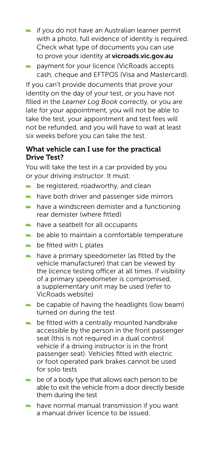- $\blacksquare$  if you do not have an Australian learner permit with a photo, full evidence of identity is required. Check what type of documents you can use to prove your identity at vicroads.vic.gov.au
- **payment for your licence (VicRoads accepts** cash, cheque and EFTPOS (Visa and Mastercard).

If you can't provide documents that prove your identity on the day of your test, or you have not filled in the *Learner Log Book* correctly, or you are late for your appointment, you will not be able to take the test, your appointment and test fees will not be refunded, and you will have to wait at least six weeks before you can take the test.

#### What vehicle can I use for the practical Drive Test?

You will take the test in a car provided by you or your driving instructor. It must:

- $\blacksquare$  be registered, roadworthy, and clean
- $\blacksquare$  have both driver and passenger side mirrors
- $\blacksquare$  have a windscreen demister and a functioning rear demister (where fitted)
- have a seatbelt for all occupants
- $\blacksquare$  be able to maintain a comfortable temperature
- $\blacksquare$  be fitted with L plates
- $\blacksquare$  have a primary speedometer (as fitted by the vehicle manufacturer) that can be viewed by the licence testing officer at all times. If visibility of a primary speedometer is compromised, a supplementary unit may be used (refer to VicRoads website)
- $\blacksquare$  be capable of having the headlights (low beam) turned on during the test
- **be fitted with a centrally mounted handbrake** accessible by the person in the front passenger seat (this is not required in a dual control vehicle if a driving instructor is in the front passenger seat). Vehicles fitted with electric or foot operated park brakes cannot be used for solo tests
- $\blacksquare$  be of a body type that allows each person to be able to exit the vehicle from a door directly beside them during the test
- $\blacksquare$  have normal manual transmission if you want a manual driver licence to be issued.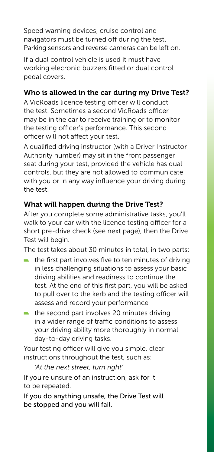Speed warning devices, cruise control and navigators must be turned off during the test. Parking sensors and reverse cameras can be left on.

If a dual control vehicle is used it must have working elecronic buzzers fitted or dual control pedal covers.

## Who is allowed in the car during my Drive Test?

A VicRoads licence testing officer will conduct the test. Sometimes a second VicRoads officer may be in the car to receive training or to monitor the testing officer's performance. This second officer will not affect your test.

A qualified driving instructor (with a Driver Instructor Authority number) may sit in the front passenger seat during your test, provided the vehicle has dual controls, but they are not allowed to communicate with you or in any way influence your driving during the test.

## What will happen during the Drive Test?

After you complete some administrative tasks, you'll walk to your car with the licence testing officer for a short pre-drive check (see next page), then the Drive Test will begin.

The test takes about 30 minutes in total, in two parts:

- $\blacksquare$  the first part involves five to ten minutes of driving in less challenging situations to assess your basic driving abilities and readiness to continue the test. At the end of this first part, you will be asked to pull over to the kerb and the testing officer will assess and record your performance
- $\blacksquare$  the second part involves 20 minutes driving in a wider range of traffic conditions to assess your driving ability more thoroughly in normal day-to-day driving tasks.

Your testing officer will give you simple, clear instructions throughout the test, such as:

*'At the next street, turn right'*

If you're unsure of an instruction, ask for it to be repeated.

If you do anything unsafe, the Drive Test will be stopped and you will fail.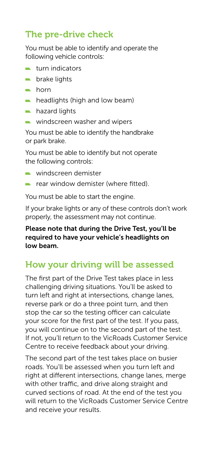# The pre-drive check

You must be able to identify and operate the following vehicle controls:

- $\blacksquare$  turn indicators
- $\blacksquare$  brake lights
- $horn$
- $\blacksquare$  headlights (high and low beam)
- hazard lights
- windscreen washer and wipers

You must be able to identify the handbrake or park brake.

You must be able to identify but not operate the following controls:

- windscreen demister
- **rear window demister (where fitted)**

You must be able to start the engine.

If your brake lights or any of these controls don't work properly, the assessment may not continue.

#### Please note that during the Drive Test, you'll be required to have your vehicle's headlights on low beam.

## How your driving will be assessed

The first part of the Drive Test takes place in less challenging driving situations. You'll be asked to turn left and right at intersections, change lanes, reverse park or do a three point turn, and then stop the car so the testing officer can calculate your score for the first part of the test. If you pass, you will continue on to the second part of the test. If not, you'll return to the VicRoads Customer Service Centre to receive feedback about your driving.

The second part of the test takes place on busier roads. You'll be assessed when you turn left and right at different intersections, change lanes, merge with other traffic, and drive along straight and curved sections of road. At the end of the test you will return to the VicRoads Customer Service Centre and receive your results.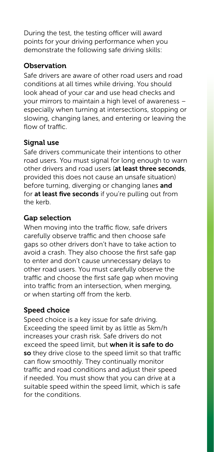During the test, the testing officer will award points for your driving performance when you demonstrate the following safe driving skills:

#### **Observation**

Safe drivers are aware of other road users and road conditions at all times while driving. You should look ahead of your car and use head checks and your mirrors to maintain a high level of awareness – especially when turning at intersections, stopping or slowing, changing lanes, and entering or leaving the flow of traffic.

## Signal use

Safe drivers communicate their intentions to other road users. You must signal for long enough to warn other drivers and road users (at least three seconds, provided this does not cause an unsafe situation) before turning, diverging or changing lanes and for at least five seconds if you're pulling out from the kerb.

## Gap selection

When moving into the traffic flow, safe drivers carefully observe traffic and then choose safe gaps so other drivers don't have to take action to avoid a crash. They also choose the first safe gap to enter and don't cause unnecessary delays to other road users. You must carefully observe the traffic and choose the first safe gap when moving into traffic from an intersection, when merging, or when starting off from the kerb.

## Speed choice

Speed choice is a key issue for safe driving. Exceeding the speed limit by as little as 5km/h increases your crash risk. Safe drivers do not exceed the speed limit, but when it is safe to do so they drive close to the speed limit so that traffic can flow smoothly. They continually monitor traffic and road conditions and adjust their speed if needed. You must show that you can drive at a suitable speed within the speed limit, which is safe for the conditions.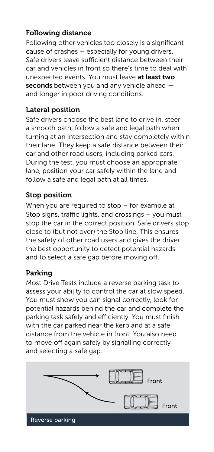## Following distance

Following other vehicles too closely is a significant cause of crashes – especially for young drivers. Safe drivers leave sufficient distance between their car and vehicles in front so there's time to deal with unexpected events. You must leave at least two seconds between you and any vehicle ahead  $$ and longer in poor driving conditions.

#### Lateral position

Safe drivers choose the best lane to drive in, steer a smooth path, follow a safe and legal path when turning at an intersection and stay completely within their lane. They keep a safe distance between their car and other road users, including parked cars. During the test, you must choose an appropriate lane, position your car safely within the lane and follow a safe and legal path at all times.

#### Stop position

When you are required to stop – for example at Stop signs, traffic lights, and crossings – you must stop the car in the correct position. Safe drivers stop close to (but not over) the Stop line. This ensures the safety of other road users and gives the driver the best opportunity to detect potential hazards and to select a safe gap before moving off.

#### Parking

Most Drive Tests include a reverse parking task to assess your ability to control the car at slow speed. You must show you can signal correctly, look for potential hazards behind the car and complete the parking task safely and efficiently. You must finish with the car parked near the kerb and at a safe distance from the vehicle in front. You also need to move off again safely by signalling correctly and selecting a safe gap.

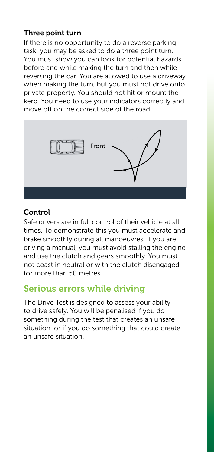#### Three point turn

If there is no opportunity to do a reverse parking task, you may be asked to do a three point turn. You must show you can look for potential hazards before and while making the turn and then while reversing the car. You are allowed to use a driveway when making the turn, but you must not drive onto private property. You should not hit or mount the kerb. You need to use your indicators correctly and move off on the correct side of the road.



#### Control

Safe drivers are in full control of their vehicle at all times. To demonstrate this you must accelerate and brake smoothly during all manoeuvres. If you are driving a manual, you must avoid stalling the engine and use the clutch and gears smoothly. You must not coast in neutral or with the clutch disengaged for more than 50 metres.

## Serious errors while driving

The Drive Test is designed to assess your ability to drive safely. You will be penalised if you do something during the test that creates an unsafe situation, or if you do something that could create an unsafe situation.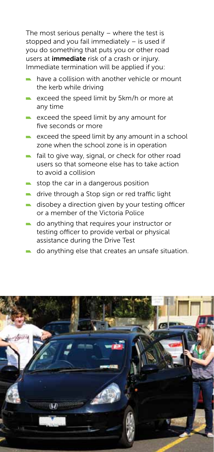The most serious penalty – where the test is stopped and you fail immediately – is used if you do something that puts you or other road users at *immediate* risk of a crash or injury. Immediate termination will be applied if you:

- have a collision with another vehicle or mount the kerb while driving
- exceed the speed limit by 5km/h or more at any time
- $\blacksquare$  exceed the speed limit by any amount for five seconds or more
- $\blacksquare$  exceed the speed limit by any amount in a school zone when the school zone is in operation
- fail to give way, signal, or check for other road users so that someone else has to take action to avoid a collision
- $\blacksquare$  stop the car in a dangerous position
- **number** drive through a Stop sign or red traffic light
- disobey a direction given by your testing officer or a member of the Victoria Police
- do anything that requires your instructor or testing officer to provide verbal or physical assistance during the Drive Test
- do anything else that creates an unsafe situation.

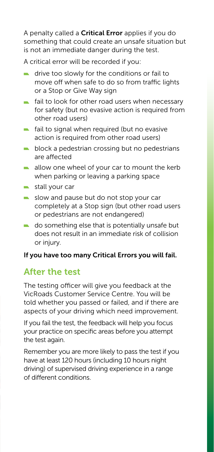A penalty called a Critical Error applies if you do something that could create an unsafe situation but is not an immediate danger during the test.

A critical error will be recorded if you:

- drive too slowly for the conditions or fail to move off when safe to do so from traffic lights or a Stop or Give Way sign
- $\blacksquare$  fail to look for other road users when necessary for safety (but no evasive action is required from other road users)
- $\blacksquare$  fail to signal when required (but no evasive action is required from other road users)
- block a pedestrian crossing but no pedestrians are affected
- $\blacksquare$  allow one wheel of your car to mount the kerb when parking or leaving a parking space
- $\blacksquare$  stall your car
- slow and pause but do not stop your car completely at a Stop sign (but other road users or pedestrians are not endangered)
- do something else that is potentially unsafe but does not result in an immediate risk of collision or injury.

#### If you have too many Critical Errors you will fail.

## After the test

The testing officer will give you feedback at the VicRoads Customer Service Centre. You will be told whether you passed or failed, and if there are aspects of your driving which need improvement.

If you fail the test, the feedback will help you focus your practice on specific areas before you attempt the test again.

Remember you are more likely to pass the test if you have at least 120 hours (including 10 hours night driving) of supervised driving experience in a range of different conditions.